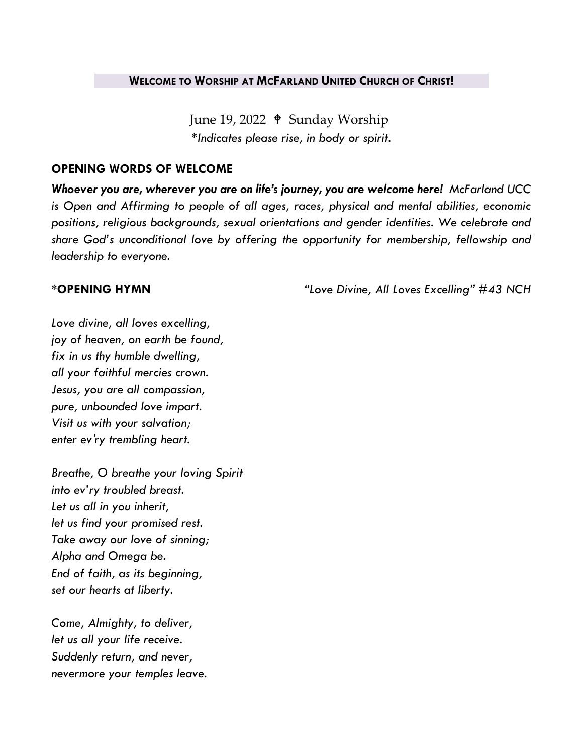#### **WELCOME TO WORSHIP AT MCFARLAND UNITED CHURCH OF CHRIST!**

June 19, 2022  $\triangleq$  Sunday Worship *\*Indicates please rise, in body or spirit.*

### **OPENING WORDS OF WELCOME**

*Whoever you are, wherever you are on life's journey, you are welcome here! McFarland UCC is Open and Affirming to people of all ages, races, physical and mental abilities, economic positions, religious backgrounds, sexual orientations and gender identities. We celebrate and share God's unconditional love by offering the opportunity for membership, fellowship and leadership to everyone.*

**\*OPENING HYMN** *"Love Divine, All Loves Excelling" #43 NCH*

*Love divine, all loves excelling, joy of heaven, on earth be found, fix in us thy humble dwelling, all your faithful mercies crown. Jesus, you are all compassion, pure, unbounded love impart. Visit us with your salvation; enter ev'ry trembling heart.*

*Breathe, O breathe your loving Spirit into ev'ry troubled breast. Let us all in you inherit, let us find your promised rest. Take away our love of sinning; Alpha and Omega be. End of faith, as its beginning, set our hearts at liberty.*

*Come, Almighty, to deliver, let us all your life receive. Suddenly return, and never, nevermore your temples leave.*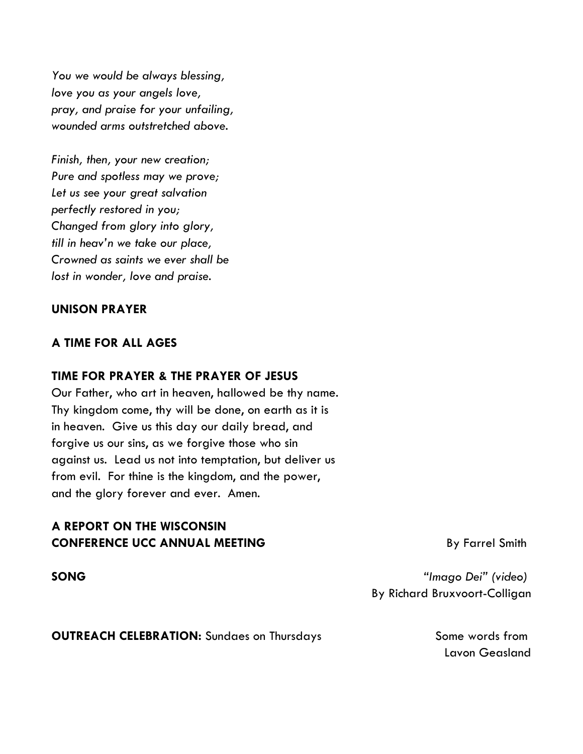*You we would be always blessing, love you as your angels love, pray, and praise for your unfailing, wounded arms outstretched above.*

*Finish, then, your new creation; Pure and spotless may we prove; Let us see your great salvation perfectly restored in you; Changed from glory into glory, till in heav'n we take our place, Crowned as saints we ever shall be lost in wonder, love and praise.*

## **UNISON PRAYER**

### **A TIME FOR ALL AGES**

#### **TIME FOR PRAYER & THE PRAYER OF JESUS**

Our Father, who art in heaven, hallowed be thy name. Thy kingdom come, thy will be done, on earth as it is in heaven. Give us this day our daily bread, and forgive us our sins, as we forgive those who sin against us. Lead us not into temptation, but deliver us from evil. For thine is the kingdom, and the power, and the glory forever and ever. Amen.

# **A REPORT ON THE WISCONSIN CONFERENCE UCC ANNUAL MEETING** By Farrel Smith

**SONG** *"Imago Dei" (video)* By Richard Bruxvoort-Colligan

**OUTREACH CELEBRATION:** Sundaes on Thursdays Some words from

Lavon Geasland